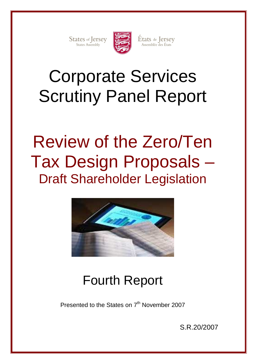States of Jersey



États de Jersey<br>Assemblée des États

# Corporate Services Scrutiny Panel Report

# Review of the Zero/Ten Tax Design Proposals – Draft Shareholder Legislation



# Fourth Report

Presented to the States on 7<sup>th</sup> November 2007

S.R.20/2007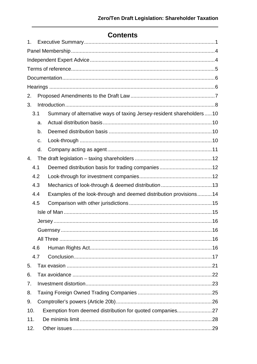# **Contents**

| $\mathbf{1}$ .                                                   |     |                                                                      |  |  |
|------------------------------------------------------------------|-----|----------------------------------------------------------------------|--|--|
|                                                                  |     |                                                                      |  |  |
|                                                                  |     |                                                                      |  |  |
|                                                                  |     |                                                                      |  |  |
|                                                                  |     |                                                                      |  |  |
|                                                                  |     |                                                                      |  |  |
| 2.                                                               |     |                                                                      |  |  |
| 3.                                                               |     |                                                                      |  |  |
|                                                                  | 3.1 | Summary of alternative ways of taxing Jersey-resident shareholders10 |  |  |
|                                                                  | a.  |                                                                      |  |  |
|                                                                  | b.  |                                                                      |  |  |
|                                                                  | c.  |                                                                      |  |  |
|                                                                  | d.  |                                                                      |  |  |
| $\mathbf{4}$ .                                                   |     |                                                                      |  |  |
| 4.1                                                              |     |                                                                      |  |  |
|                                                                  | 4.2 |                                                                      |  |  |
|                                                                  | 4.3 |                                                                      |  |  |
|                                                                  | 4.4 | Examples of the look-through and deemed distribution provisions14    |  |  |
|                                                                  | 4.5 |                                                                      |  |  |
|                                                                  |     |                                                                      |  |  |
|                                                                  |     |                                                                      |  |  |
|                                                                  |     |                                                                      |  |  |
|                                                                  |     |                                                                      |  |  |
|                                                                  | 4.6 |                                                                      |  |  |
|                                                                  | 4.7 |                                                                      |  |  |
| 5.                                                               |     |                                                                      |  |  |
| 6.                                                               |     |                                                                      |  |  |
| 7.                                                               |     |                                                                      |  |  |
| 8.                                                               |     |                                                                      |  |  |
| 9.                                                               |     |                                                                      |  |  |
| Exemption from deemed distribution for quoted companies27<br>10. |     |                                                                      |  |  |
| 11.                                                              |     |                                                                      |  |  |
| 12.                                                              |     |                                                                      |  |  |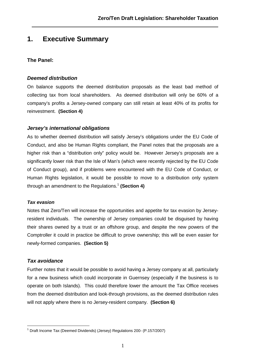# **1. Executive Summary**

## **The Panel:**

### **Deemed distribution**

On balance supports the deemed distribution proposals as the least bad method of collecting tax from local shareholders. As deemed distribution will only be 60% of a company's profits a Jersey-owned company can still retain at least 40% of its profits for reinvestment. **(Section 4)** 

## **Jersey's international obligations**

As to whether deemed distribution will satisfy Jersey's obligations under the EU Code of Conduct, and also be Human Rights compliant, the Panel notes that the proposals are a higher risk than a "distribution only" policy would be. However Jersey's proposals are a significantly lower risk than the Isle of Man's (which were recently rejected by the EU Code of Conduct group), and if problems were encountered with the EU Code of Conduct, or Human Rights legislation, it would be possible to move to a distribution only system through an amendment to the Regulations.<sup>1</sup> **(Section 4)**

#### **Tax evasion**

Notes that Zero/Ten will increase the opportunities and appetite for tax evasion by Jerseyresident individuals. The ownership of Jersey companies could be disguised by having their shares owned by a trust or an offshore group, and despite the new powers of the Comptroller it could in practice be difficult to prove ownership; this will be even easier for newly-formed companies. **(Section 5)** 

## **Tax avoidance**

Further notes that it would be possible to avoid having a Jersey company at all, particularly for a new business which could incorporate in Guernsey (especially if the business is to operate on both Islands). This could therefore lower the amount the Tax Office receives from the deemed distribution and look-through provisions, as the deemed distribution rules will not apply where there is no Jersey-resident company. **(Section 6)** 

 1 Draft Income Tax (Deemed Dividends) (Jersey) Regulations 200- (P.157/2007)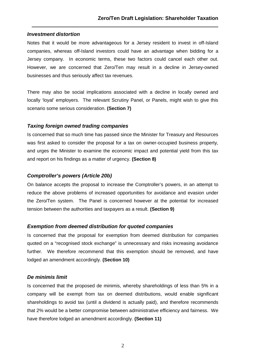#### **Investment distortion**

Notes that it would be more advantageous for a Jersey resident to invest in off-Island companies, whereas off-Island investors could have an advantage when bidding for a Jersey company. In economic terms, these two factors could cancel each other out. However, we are concerned that Zero/Ten may result in a decline in Jersey-owned businesses and thus seriously affect tax revenues.

There may also be social implications associated with a decline in locally owned and locally 'loyal' employers. The relevant Scrutiny Panel, or Panels, might wish to give this scenario some serious consideration. **(Section 7)**

#### **Taxing foreign owned trading companies**

Is concerned that so much time has passed since the Minister for Treasury and Resources was first asked to consider the proposal for a tax on owner-occupied business property, and urges the Minister to examine the economic impact and potential yield from this tax and report on his findings as a matter of urgency. **(Section 8)** 

## **Comptroller's powers (Article 20b)**

On balance accepts the proposal to increase the Comptroller's powers, in an attempt to reduce the above problems of increased opportunities for avoidance and evasion under the Zero/Ten system. The Panel is concerned however at the potential for increased tension between the authorities and taxpayers as a result. **(Section 9)**

#### **Exemption from deemed distribution for quoted companies**

Is concerned that the proposal for exemption from deemed distribution for companies quoted on a "recognised stock exchange" is unnecessary and risks increasing avoidance further. We therefore recommend that this exemption should be removed, and have lodged an amendment accordingly. **(Section 10)**

#### **De minimis limit**

Is concerned that the proposed de minimis, whereby shareholdings of less than 5% in a company will be exempt from tax on deemed distributions, would enable significant shareholdings to avoid tax (until a dividend is actually paid), and therefore recommends that 2% would be a better compromise between administrative efficiency and fairness. We have therefore lodged an amendment accordingly. **(Section 11)**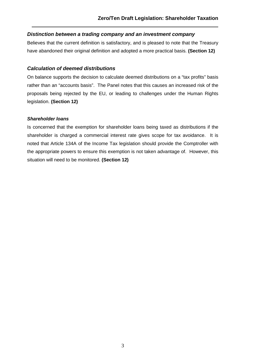## **Distinction between a trading company and an investment company**

Believes that the current definition is satisfactory, and is pleased to note that the Treasury have abandoned their original definition and adopted a more practical basis. **(Section 12)**

### **Calculation of deemed distributions**

On balance supports the decision to calculate deemed distributions on a "tax profits" basis rather than an "accounts basis". The Panel notes that this causes an increased risk of the proposals being rejected by the EU, or leading to challenges under the Human Rights legislation. **(Section 12)**

#### **Shareholder loans**

Is concerned that the exemption for shareholder loans being taxed as distributions if the shareholder is charged a commercial interest rate gives scope for tax avoidance. It is noted that Article 134A of the Income Tax legislation should provide the Comptroller with the appropriate powers to ensure this exemption is not taken advantage of. However, this situation will need to be monitored. **(Section 12)**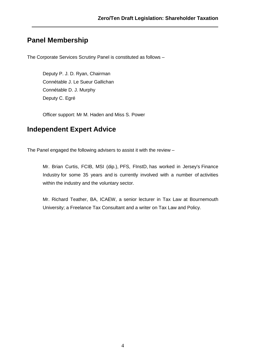# **Panel Membership**

The Corporate Services Scrutiny Panel is constituted as follows –

Deputy P. J. D. Ryan, Chairman Connétable J. Le Sueur Gallichan Connétable D. J. Murphy Deputy C. Egré

Officer support: Mr M. Haden and Miss S. Power

# **Independent Expert Advice**

The Panel engaged the following advisers to assist it with the review –

Mr. Brian Curtis, FCIB, MSI (dip.), PFS, FInstD, has worked in Jersey's Finance Industry for some 35 years and is currently involved with a number of activities within the industry and the voluntary sector.

Mr. Richard Teather, BA, ICAEW, a senior lecturer in Tax Law at Bournemouth University; a Freelance Tax Consultant and a writer on Tax Law and Policy.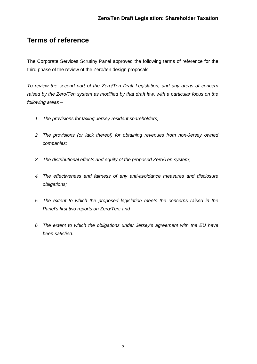# **Terms of reference**

The Corporate Services Scrutiny Panel approved the following terms of reference for the third phase of the review of the Zero/ten design proposals:

To review the second part of the Zero/Ten Draft Legislation, and any areas of concern raised by the Zero/Ten system as modified by that draft law, with a particular focus on the following areas –

- 1. The provisions for taxing Jersey-resident shareholders;
- 2. The provisions (or lack thereof) for obtaining revenues from non-Jersey owned companies;
- 3. The distributional effects and equity of the proposed Zero/Ten system;
- 4. The effectiveness and fairness of any anti-avoidance measures and disclosure obligations;
- 5. The extent to which the proposed legislation meets the concerns raised in the Panel's first two reports on Zero/Ten; and
- 6. The extent to which the obligations under Jersey's agreement with the EU have been satisfied.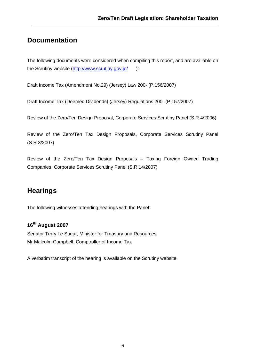# **Documentation**

The following documents were considered when compiling this report, and are available on the Scrutiny website (http://www.scrutiny.gov.je/ ):

Draft Income Tax (Amendment No.29) (Jersey) Law 200- (P.156/2007)

Draft Income Tax (Deemed Dividends) (Jersey) Regulations 200- (P.157/2007)

Review of the Zero/Ten Design Proposal, Corporate Services Scrutiny Panel (S.R.4/2006)

Review of the Zero/Ten Tax Design Proposals, Corporate Services Scrutiny Panel (S.R.3/2007)

Review of the Zero/Ten Tax Design Proposals – Taxing Foreign Owned Trading Companies, Corporate Services Scrutiny Panel (S.R.14/2007)

# **Hearings**

The following witnesses attending hearings with the Panel:

## **16th August 2007**

Senator Terry Le Sueur, Minister for Treasury and Resources Mr Malcolm Campbell, Comptroller of Income Tax

A verbatim transcript of the hearing is available on the Scrutiny website.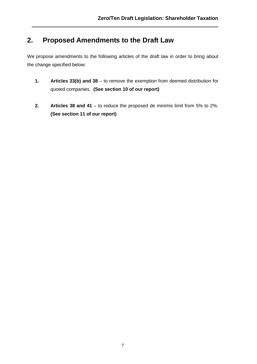# **2. Proposed Amendments to the Draft Law**

We propose amendments to the following articles of the draft law in order to bring about the change specified below:

- **1. Articles 33(b) and 38**  to remove the exemption from deemed distribution for quoted companies. **(See section 10 of our report)**
- **2. Articles 38 and 41** to reduce the proposed de minimis limit from 5% to 2%. **(See section 11 of our report)**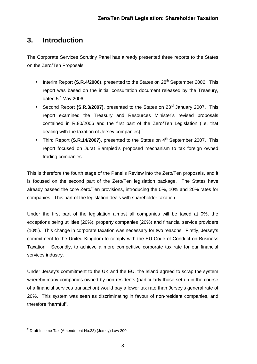# **3. Introduction**

The Corporate Services Scrutiny Panel has already presented three reports to the States on the Zero/Ten Proposals:

- Interim Report (S.R.4/2006), presented to the States on 28<sup>th</sup> September 2006. This report was based on the initial consultation document released by the Treasury, dated  $5<sup>th</sup>$  May 2006.
- Second Report (S.R.3/2007), presented to the States on 23<sup>rd</sup> January 2007. This report examined the Treasury and Resources Minister's revised proposals contained in R.80/2006 and the first part of the Zero/Ten Legislation (i.e. that dealing with the taxation of Jersey companies).<sup>2</sup>
- Third Report (S.R.14/2007), presented to the States on 4<sup>th</sup> September 2007. This report focused on Jurat Blampied's proposed mechanism to tax foreign owned trading companies.

This is therefore the fourth stage of the Panel's Review into the Zero/Ten proposals, and it is focused on the second part of the Zero/Ten legislation package. The States have already passed the core Zero/Ten provisions, introducing the 0%, 10% and 20% rates for companies. This part of the legislation deals with shareholder taxation.

Under the first part of the legislation almost all companies will be taxed at 0%, the exceptions being utilities (20%), property companies (20%) and financial service providers (10%). This change in corporate taxation was necessary for two reasons. Firstly, Jersey's commitment to the United Kingdom to comply with the EU Code of Conduct on Business Taxation. Secondly, to achieve a more competitive corporate tax rate for our financial services industry.

Under Jersey's commitment to the UK and the EU, the Island agreed to scrap the system whereby many companies owned by non-residents (particularly those set up in the course of a financial services transaction) would pay a lower tax rate than Jersey's general rate of 20%. This system was seen as discriminating in favour of non-resident companies, and therefore "harmful".

 2 Draft Income Tax (Amendment No.28) (Jersey) Law 200-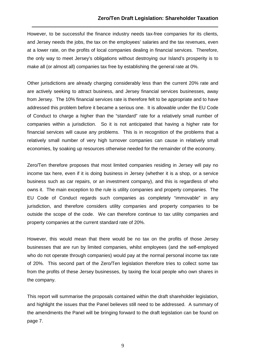However, to be successful the finance industry needs tax-free companies for its clients, and Jersey needs the jobs, the tax on the employees' salaries and the tax revenues, even at a lower rate, on the profits of local companies dealing in financial services. Therefore, the only way to meet Jersey's obligations without destroying our Island's prosperity is to make all (or almost all) companies tax free by establishing the general rate at 0%.

Other jurisdictions are already charging considerably less than the current 20% rate and are actively seeking to attract business, and Jersey financial services businesses, away from Jersey. The 10% financial services rate is therefore felt to be appropriate and to have addressed this problem before it became a serious one. It is allowable under the EU Code of Conduct to charge a higher than the "standard" rate for a relatively small number of companies within a jurisdiction. So it is not anticipated that having a higher rate for financial services will cause any problems. This is in recognition of the problems that a relatively small number of very high turnover companies can cause in relatively small economies, by soaking up resources otherwise needed for the remainder of the economy.

Zero/Ten therefore proposes that most limited companies residing in Jersey will pay no income tax here, even if it is doing business in Jersey (whether it is a shop, or a service business such as car repairs, or an investment company), and this is regardless of who owns it. The main exception to the rule is utility companies and property companies. The EU Code of Conduct regards such companies as completely "immovable" in any jurisdiction, and therefore considers utility companies and property companies to be outside the scope of the code. We can therefore continue to tax utility companies and property companies at the current standard rate of 20%.

However, this would mean that there would be no tax on the profits of those Jersey businesses that are run by limited companies, whilst employees (and the self-employed who do not operate through companies) would pay at the normal personal income tax rate of 20%. This second part of the Zero/Ten legislation therefore tries to collect some tax from the profits of these Jersey businesses, by taxing the local people who own shares in the company.

This report will summarise the proposals contained within the draft shareholder legislation, and highlight the issues that the Panel believes still need to be addressed. A summary of the amendments the Panel will be bringing forward to the draft legislation can be found on page 7.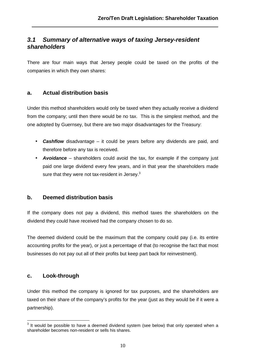# **3.1 Summary of alternative ways of taxing Jersey-resident shareholders**

There are four main ways that Jersey people could be taxed on the profits of the companies in which they own shares:

## **a. Actual distribution basis**

Under this method shareholders would only be taxed when they actually receive a dividend from the company; until then there would be no tax. This is the simplest method, and the one adopted by Guernsey, but there are two major disadvantages for the Treasury:

- **Cashflow** disadvantage it could be years before any dividends are paid, and therefore before any tax is received.
- **Avoidance**  shareholders could avoid the tax, for example if the company just paid one large dividend every few years, and in that year the shareholders made sure that they were not tax-resident in Jersey.<sup>3</sup>

## **b. Deemed distribution basis**

If the company does not pay a dividend, this method taxes the shareholders on the dividend they could have received had the company chosen to do so.

The deemed dividend could be the maximum that the company could pay (i.e. its entire accounting profits for the year), or just a percentage of that (to recognise the fact that most businesses do not pay out all of their profits but keep part back for reinvestment).

## **c. Look-through**

Under this method the company is ignored for tax purposes, and the shareholders are taxed on their share of the company's profits for the year (just as they would be if it were a partnership).

**EXECUTE:**<br><sup>3</sup> It would be possible to have a deemed dividend system (see below) that only operated when a shareholder becomes non-resident or sells his shares.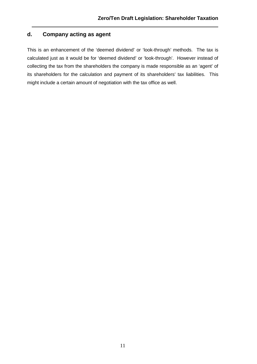# **d. Company acting as agent**

This is an enhancement of the 'deemed dividend' or 'look-through' methods. The tax is calculated just as it would be for 'deemed dividend' or 'look-through'. However instead of collecting the tax from the shareholders the company is made responsible as an 'agent' of its shareholders for the calculation and payment of its shareholders' tax liabilities. This might include a certain amount of negotiation with the tax office as well.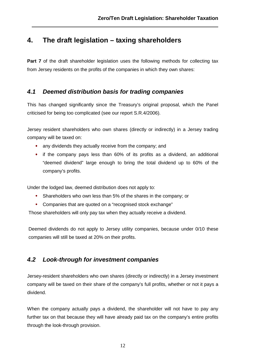# **4. The draft legislation – taxing shareholders**

**Part 7** of the draft shareholder legislation uses the following methods for collecting tax from Jersey residents on the profits of the companies in which they own shares:

## **4.1 Deemed distribution basis for trading companies**

This has changed significantly since the Treasury's original proposal, which the Panel criticised for being too complicated (see our report S.R.4/2006).

Jersey resident shareholders who own shares (directly or indirectly) in a Jersey trading company will be taxed on:

- any dividends they actually receive from the company; and
- if the company pays less than 60% of its profits as a dividend, an additional "deemed dividend" large enough to bring the total dividend up to 60% of the company's profits.

Under the lodged law, deemed distribution does not apply to:

- Shareholders who own less than 5% of the shares in the company; or
- Companies that are quoted on a "recognised stock exchange"

Those shareholders will only pay tax when they actually receive a dividend.

Deemed dividends do not apply to Jersey utility companies, because under 0/10 these companies will still be taxed at 20% on their profits.

## **4.2 Look-through for investment companies**

Jersey-resident shareholders who own shares (directly or indirectly) in a Jersey investment company will be taxed on their share of the company's full profits, whether or not it pays a dividend.

When the company actually pays a dividend, the shareholder will not have to pay any further tax on that because they will have already paid tax on the company's entire profits through the look-through provision.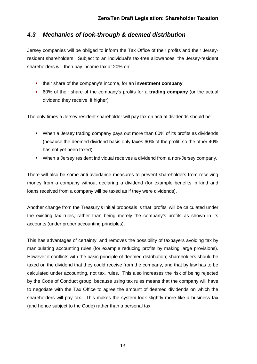## **4.3 Mechanics of look-through & deemed distribution**

Jersey companies will be obliged to inform the Tax Office of their profits and their Jerseyresident shareholders. Subject to an individual's tax-free allowances, the Jersey-resident shareholders will then pay income tax at 20% on:

- their share of the company's income, for an **investment company**
- 60% of their share of the company's profits for a **trading company** (or the actual dividend they receive, if higher)

The only times a Jersey resident shareholder will pay tax on actual dividends should be:

- When a Jersey trading company pays out more than 60% of its profits as dividends (because the deemed dividend basis only taxes 60% of the profit, so the other 40% has not yet been taxed);
- When a Jersey resident individual receives a dividend from a non-Jersey company.

There will also be some anti-avoidance measures to prevent shareholders from receiving money from a company without declaring a dividend (for example benefits in kind and loans received from a company will be taxed as if they were dividends).

Another change from the Treasury's initial proposals is that 'profits' will be calculated under the existing tax rules, rather than being merely the company's profits as shown in its accounts (under proper accounting principles).

This has advantages of certainty, and removes the possibility of taxpayers avoiding tax by manipulating accounting rules (for example reducing profits by making large provisions). However it conflicts with the basic principle of deemed distribution; shareholders should be taxed on the dividend that they could receive from the company, and that by law has to be calculated under accounting, not tax, rules. This also increases the risk of being rejected by the Code of Conduct group, because using tax rules means that the company will have to negotiate with the Tax Office to agree the amount of deemed dividends on which the shareholders will pay tax. This makes the system look slightly more like a business tax (and hence subject to the Code) rather than a personal tax.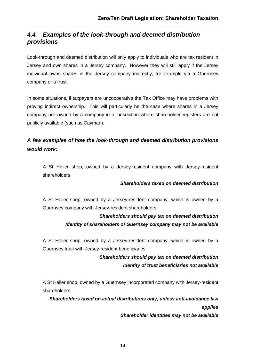# **4.4 Examples of the look-through and deemed distribution provisions**

Look-through and deemed distribution will only apply to individuals who are tax resident in Jersey and own shares in a Jersey company. However they will still apply if the Jersey individual owns shares in the Jersey company indirectly, for example via a Guernsey company or a trust.

In some situations, if taxpayers are uncooperative the Tax Office may have problems with proving indirect ownership. This will particularly be the case where shares in a Jersey company are owned by a company in a jurisdiction where shareholder registers are not publicly available (such as Cayman).

# **A few examples of how the look-through and deemed distribution provisions would work:**

A St Helier shop, owned by a Jersey-resident company with Jersey-resident shareholders

#### **Shareholders taxed on deemed distribution**

A St Helier shop, owned by a Jersey-resident company, which is owned by a Guernsey company with Jersey-resident shareholders

## **Shareholders should pay tax on deemed distribution Identity of shareholders of Guernsey company may not be available**

A St Helier shop, owned by a Jersey-resident company, which is owned by a Guernsey trust with Jersey-resident beneficiaries

## **Shareholders should pay tax on deemed distribution Identity of trust beneficiaries not available**

A St Helier shop, owned by a Guernsey incorporated company with Jersey-resident shareholders

**Shareholders taxed on actual distributions only, unless anti-avoidance law applies** 

**Shareholder identities may not be available**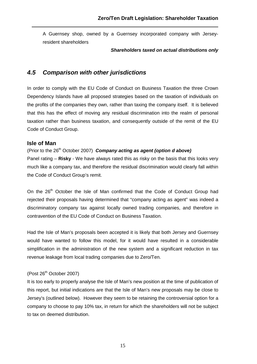A Guernsey shop, owned by a Guernsey incorporated company with Jerseyresident shareholders

#### **Shareholders taxed on actual distributions only**

## **4.5 Comparison with other jurisdictions**

In order to comply with the EU Code of Conduct on Business Taxation the three Crown Dependency Islands have all proposed strategies based on the taxation of individuals on the profits of the companies they own, rather than taxing the company itself. It is believed that this has the effect of moving any residual discrimination into the realm of personal taxation rather than business taxation, and consequently outside of the remit of the EU Code of Conduct Group.

## **Isle of Man**

(Prior to the 26<sup>th</sup> October 2007) **Company acting as agent (option d above)** 

Panel rating – **Risky** - We have always rated this as risky on the basis that this looks very much like a company tax, and therefore the residual discrimination would clearly fall within the Code of Conduct Group's remit.

On the 26<sup>th</sup> October the Isle of Man confirmed that the Code of Conduct Group had rejected their proposals having determined that "company acting as agent" was indeed a discriminatory company tax against locally owned trading companies, and therefore in contravention of the EU Code of Conduct on Business Taxation.

Had the Isle of Man's proposals been accepted it is likely that both Jersey and Guernsey would have wanted to follow this model, for it would have resulted in a considerable simplification in the administration of the new system and a significant reduction in tax revenue leakage from local trading companies due to Zero/Ten.

## (Post 26<sup>th</sup> October 2007)

It is too early to properly analyse the Isle of Man's new position at the time of publication of this report, but initial indications are that the Isle of Man's new proposals may be close to Jersey's (outlined below). However they seem to be retaining the controversial option for a company to choose to pay 10% tax, in return for which the shareholders will not be subject to tax on deemed distribution.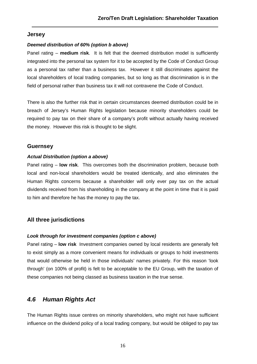### **Jersey**

#### **Deemed distribution of 60% (option b above)**

Panel rating – **medium risk**. It is felt that the deemed distribution model is sufficiently integrated into the personal tax system for it to be accepted by the Code of Conduct Group as a personal tax rather than a business tax. However it still discriminates against the local shareholders of local trading companies, but so long as that discrimination is in the field of personal rather than business tax it will not contravene the Code of Conduct.

There is also the further risk that in certain circumstances deemed distribution could be in breach of Jersey's Human Rights legislation because minority shareholders could be required to pay tax on their share of a company's profit without actually having received the money. However this risk is thought to be slight.

## **Guernsey**

#### **Actual Distribution (option a above)**

Panel rating – **low risk**. This overcomes both the discrimination problem, because both local and non-local shareholders would be treated identically, and also eliminates the Human Rights concerns because a shareholder will only ever pay tax on the actual dividends received from his shareholding in the company at the point in time that it is paid to him and therefore he has the money to pay the tax.

## **All three jurisdictions**

#### **Look through for investment companies (option c above)**

Panel rating – **low risk** Investment companies owned by local residents are generally felt to exist simply as a more convenient means for individuals or groups to hold investments that would otherwise be held in those individuals' names privately. For this reason 'look through' (on 100% of profit) is felt to be acceptable to the EU Group, with the taxation of these companies not being classed as business taxation in the true sense.

## **4.6 Human Rights Act**

The Human Rights issue centres on minority shareholders, who might not have sufficient influence on the dividend policy of a local trading company, but would be obliged to pay tax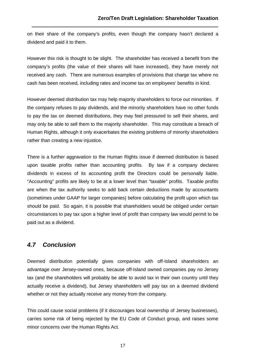on their share of the company's profits, even though the company hasn't declared a dividend and paid it to them.

However this risk is thought to be slight. The shareholder has received a benefit from the company's profits (the value of their shares will have increased), they have merely not received any cash. There are numerous examples of provisions that charge tax where no cash has been received, including rates and income tax on employees' benefits in kind.

However deemed distribution tax may help majority shareholders to force out minorities. If the company refuses to pay dividends, and the minority shareholders have no other funds to pay the tax on deemed distributions, they may feel pressured to sell their shares, and may only be able to sell them to the majority shareholder. This may constitute a breach of Human Rights, although it only exacerbates the existing problems of minority shareholders rather than creating a new injustice.

There is a further aggravation to the Human Rights issue if deemed distribution is based upon taxable profits rather than accounting profits. By law if a company declares dividends in excess of its accounting profit the Directors could be personally liable. "Accounting" profits are likely to be at a lower level than "taxable" profits. Taxable profits are when the tax authority seeks to add back certain deductions made by accountants (sometimes under GAAP for larger companies) before calculating the profit upon which tax should be paid. So again, it is possible that shareholders would be obliged under certain circumstances to pay tax upon a higher level of profit than company law would permit to be paid out as a dividend.

## **4.7 Conclusion**

Deemed distribution potentially gives companies with off-Island shareholders an advantage over Jersey-owned ones, because off-Island owned companies pay no Jersey tax (and the shareholders will probably be able to avoid tax in their own country until they actually receive a dividend), but Jersey shareholders will pay tax on a deemed dividend whether or not they actually receive any money from the company.

This could cause social problems (if it discourages local ownership of Jersey businesses), carries some risk of being rejected by the EU Code of Conduct group, and raises some minor concerns over the Human Rights Act.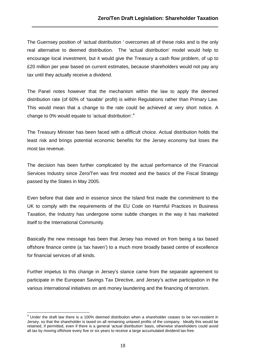The Guernsey position of 'actual distribution ' overcomes all of these risks and is the only real alternative to deemed distribution. The 'actual distribution' model would help to encourage local investment, but it would give the Treasury a cash flow problem, of up to £20 million per year based on current estimates, because shareholders would not pay any tax until they actually receive a dividend.

The Panel notes however that the mechanism within the law to apply the deemed distribution rate (of 60% of 'taxable' profit) is within Regulations rather than Primary Law. This would mean that a change to the rate could be achieved at very short notice. A change to 0% would equate to 'actual distribution'.<sup>4</sup>

The Treasury Minister has been faced with a difficult choice. Actual distribution holds the least risk and brings potential economic benefits for the Jersey economy but loses the most tax revenue.

The decision has been further complicated by the actual performance of the Financial Services Industry since Zero/Ten was first mooted and the basics of the Fiscal Strategy passed by the States in May 2005.

Even before that date and in essence since the Island first made the commitment to the UK to comply with the requirements of the EU Code on Harmful Practices in Business Taxation, the Industry has undergone some subtle changes in the way it has marketed itself to the International Community.

Basically the new message has been that Jersey has moved on from being a tax based offshore finance centre (a 'tax haven') to a much more broadly based centre of excellence for financial services of all kinds.

Further impetus to this change in Jersey's stance came from the separate agreement to participate in the European Savings Tax Directive, and Jersey's active participation in the various international initiatives on anti money laundering and the financing of terrorism.

 $\overline{a}$ 

<sup>&</sup>lt;sup>4</sup> Under the draft law there is a 100% deemed distribution when a shareholder ceases to be non-resident in Jersey, so that the shareholder is taxed on all remaining untaxed profits of the company. Ideally this would be retained, if permitted, even if there is a general 'actual distribution' basis, otherwise shareholders could avoid all tax by moving offshore every five or six years to receive a large accumulated dividend tax-free.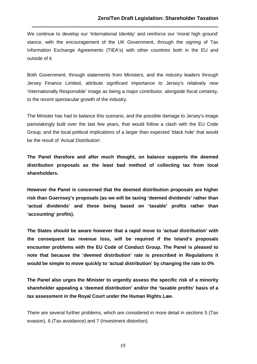We continue to develop our 'International Identity' and reinforce our 'moral high ground' stance, with the encouragement of the UK Government, through the signing of Tax Information Exchange Agreements (TIEA's) with other countries both in the EU and outside of it.

Both Government, through statements from Ministers, and the industry leaders through Jersey Finance Limited, attribute significant importance to Jersey's relatively new 'Internationally Responsible' image as being a major contributor, alongside fiscal certainty, to the recent spectacular growth of the industry.

The Minister has had to balance this scenario, and the possible damage to Jersey's image painstakingly built over the last few years, that would follow a clash with the EU Code Group; and the local political implications of a larger than expected 'black hole' that would be the result of 'Actual Distribution'.

**The Panel therefore and after much thought, on balance supports the deemed distribution proposals as the least bad method of collecting tax from local shareholders.** 

**However the Panel is concerned that the deemed distribution proposals are higher risk than Guernsey's proposals (as we will be taxing 'deemed dividends' rather than 'actual dividends' and these being based on 'taxable' profits rather than 'accounting' profits).** 

**The States should be aware however that a rapid move to 'actual distribution' with the consequent tax revenue loss, will be required if the Island's proposals encounter problems with the EU Code of Conduct Group. The Panel is pleased to note that because the 'deemed distribution' rate is prescribed in Regulations it would be simple to move quickly to 'actual distribution' by changing the rate to 0%** 

**The Panel also urges the Minister to urgently assess the specific risk of a minority shareholder appealing a 'deemed distribution' and/or the 'taxable profits' basis of a tax assessment in the Royal Court under the Human Rights Law.** 

There are several further problems, which are considered in more detail in sections 5 (Tax evasion), 6 (Tax avoidance) and 7 (Investment distortion).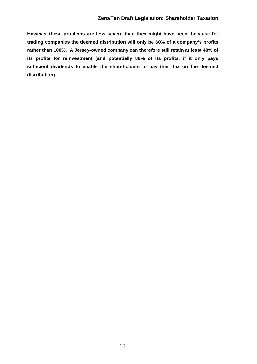**However these problems are less severe than they might have been, because for trading companies the deemed distribution will only be 60% of a company's profits rather than 100%. A Jersey-owned company can therefore still retain at least 40% of its profits for reinvestment (and potentially 88% of its profits, if it only pays sufficient dividends to enable the shareholders to pay their tax on the deemed distribution).**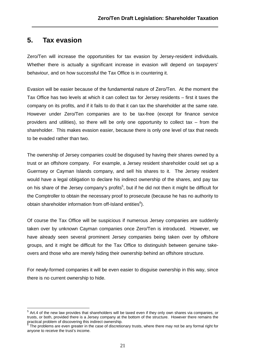# **5. Tax evasion**

Zero/Ten will increase the opportunities for tax evasion by Jersey-resident individuals. Whether there is actually a significant increase in evasion will depend on taxpayers' behaviour, and on how successful the Tax Office is in countering it.

Evasion will be easier because of the fundamental nature of Zero/Ten. At the moment the Tax Office has two levels at which it can collect tax for Jersey residents – first it taxes the company on its profits, and if it fails to do that it can tax the shareholder at the same rate. However under Zero/Ten companies are to be tax-free (except for finance service providers and utilities), so there will be only one opportunity to collect tax – from the shareholder. This makes evasion easier, because there is only one level of tax that needs to be evaded rather than two.

The ownership of Jersey companies could be disguised by having their shares owned by a trust or an offshore company. For example, a Jersey resident shareholder could set up a Guernsey or Cayman Islands company, and sell his shares to it. The Jersey resident would have a legal obligation to declare his indirect ownership of the shares, and pay tax on his share of the Jersey company's profits<sup>5</sup>, but if he did not then it might be difficult for the Comptroller to obtain the necessary proof to prosecute (because he has no authority to obtain shareholder information from off-Island entities $^6$ ).

Of course the Tax Office will be suspicious if numerous Jersey companies are suddenly taken over by unknown Cayman companies once Zero/Ten is introduced. However, we have already seen several prominent Jersey companies being taken over by offshore groups, and it might be difficult for the Tax Office to distinguish between genuine takeovers and those who are merely hiding their ownership behind an offshore structure.

For newly-formed companies it will be even easier to disguise ownership in this way, since there is no current ownership to hide.

 $\overline{a}$  $5$  Art.4 of the new law provides that shareholders will be taxed even if they only own shares via companies, or trusts, or both, provided there is a Jersey company at the bottom of the structure. However there remains the practical problem of discovering this indirect ownership.<br><sup>6</sup> The problems are aven greater in the case of discretion

The problems are even greater in the case of discretionary trusts, where there may not be any formal right for anyone to receive the trust's income.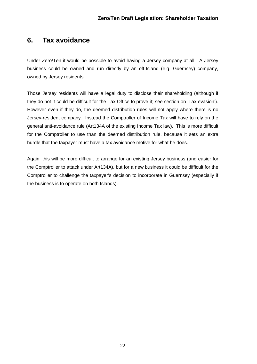# **6. Tax avoidance**

Under Zero/Ten it would be possible to avoid having a Jersey company at all. A Jersey business could be owned and run directly by an off-Island (e.g. Guernsey) company, owned by Jersey residents.

Those Jersey residents will have a legal duty to disclose their shareholding (although if they do not it could be difficult for the Tax Office to prove it; see section on 'Tax evasion'). However even if they do, the deemed distribution rules will not apply where there is no Jersey-resident company. Instead the Comptroller of Income Tax will have to rely on the general anti-avoidance rule (Art134A of the existing Income Tax law). This is more difficult for the Comptroller to use than the deemed distribution rule, because it sets an extra hurdle that the taxpayer must have a tax avoidance motive for what he does.

Again, this will be more difficult to arrange for an existing Jersey business (and easier for the Comptroller to attack under Art134A), but for a new business it could be difficult for the Comptroller to challenge the taxpayer's decision to incorporate in Guernsey (especially if the business is to operate on both Islands).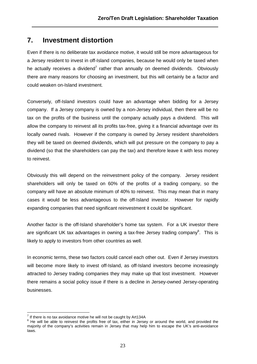# **7. Investment distortion**

Even if there is no deliberate tax avoidance motive, it would still be more advantageous for a Jersey resident to invest in off-Island companies, because he would only be taxed when he actually receives a dividend<sup>7</sup> rather than annually on deemed dividends. Obviously there are many reasons for choosing an investment, but this will certainly be a factor and could weaken on-Island investment.

Conversely, off-Island investors could have an advantage when bidding for a Jersey company. If a Jersey company is owned by a non-Jersey individual, then there will be no tax on the profits of the business until the company actually pays a dividend. This will allow the company to reinvest all its profits tax-free, giving it a financial advantage over its locally owned rivals. However if the company is owned by Jersey resident shareholders they will be taxed on deemed dividends, which will put pressure on the company to pay a dividend (so that the shareholders can pay the tax) and therefore leave it with less money to reinvest.

Obviously this will depend on the reinvestment policy of the company. Jersey resident shareholders will only be taxed on 60% of the profits of a trading company, so the company will have an absolute minimum of 40% to reinvest. This may mean that in many cases it would be less advantageous to the off-Island investor. However for rapidly expanding companies that need significant reinvestment it could be significant.

Another factor is the off-Island shareholder's home tax system. For a UK investor there are significant UK tax advantages in owning a tax-free Jersey trading company<sup>8</sup>. This is likely to apply to investors from other countries as well.

In economic terms, these two factors could cancel each other out. Even if Jersey investors will become more likely to invest off-Island, as off-Island investors become increasingly attracted to Jersey trading companies they may make up that lost investment. However there remains a social policy issue if there is a decline in Jersey-owned Jersey-operating businesses.

 $\overline{a}$  $<sup>7</sup>$  If there is no tax avoidance motive he will not be caught by Art134A</sup>

 $8$  He will be able to reinvest the profits free of tax, either in Jersey or around the world, and provided the majority of the company's activities remain in Jersey that may help him to escape the UK's anti-avoidance laws.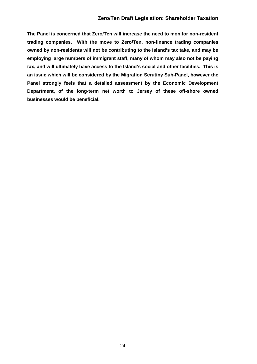**The Panel is concerned that Zero/Ten will increase the need to monitor non-resident trading companies. With the move to Zero/Ten, non-finance trading companies owned by non-residents will not be contributing to the Island's tax take, and may be employing large numbers of immigrant staff, many of whom may also not be paying tax, and will ultimately have access to the Island's social and other facilities. This is an issue which will be considered by the Migration Scrutiny Sub-Panel, however the Panel strongly feels that a detailed assessment by the Economic Development Department, of the long-term net worth to Jersey of these off-shore owned businesses would be beneficial.**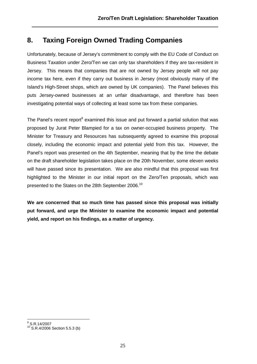# **8. Taxing Foreign Owned Trading Companies**

Unfortunately, because of Jersey's commitment to comply with the EU Code of Conduct on Business Taxation under Zero/Ten we can only tax shareholders if they are tax-resident in Jersey. This means that companies that are not owned by Jersey people will not pay income tax here, even if they carry out business in Jersey (most obviously many of the Island's High-Street shops, which are owned by UK companies). The Panel believes this puts Jersey-owned businesses at an unfair disadvantage, and therefore has been investigating potential ways of collecting at least some tax from these companies.

The Panel's recent report<sup>9</sup> examined this issue and put forward a partial solution that was proposed by Jurat Peter Blampied for a tax on owner-occupied business property. The Minister for Treasury and Resources has subsequently agreed to examine this proposal closely, including the economic impact and potential yield from this tax. However, the Panel's report was presented on the 4th September, meaning that by the time the debate on the draft shareholder legislation takes place on the 20th November, some eleven weeks will have passed since its presentation. We are also mindful that this proposal was first highlighted to the Minister in our initial report on the Zero/Ten proposals, which was presented to the States on the 28th September 2006.<sup>10</sup>

**We are concerned that so much time has passed since this proposal was initially put forward, and urge the Minister to examine the economic impact and potential yield, and report on his findings, as a matter of urgency.** 

 9 S.R.14/2007

<sup>10</sup> S.R.4/2006 Section 5.5.3 (b)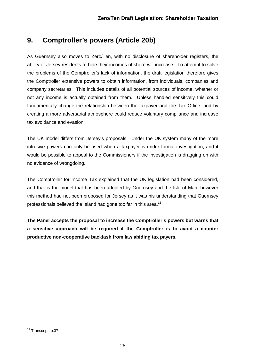# **9. Comptroller's powers (Article 20b)**

As Guernsey also moves to Zero/Ten, with no disclosure of shareholder registers, the ability of Jersey residents to hide their incomes offshore will increase. To attempt to solve the problems of the Comptroller's lack of information, the draft legislation therefore gives the Comptroller extensive powers to obtain information, from individuals, companies and company secretaries. This includes details of all potential sources of income, whether or not any income is actually obtained from them. Unless handled sensitively this could fundamentally change the relationship between the taxpayer and the Tax Office, and by creating a more adversarial atmosphere could reduce voluntary compliance and increase tax avoidance and evasion.

The UK model differs from Jersey's proposals. Under the UK system many of the more intrusive powers can only be used when a taxpayer is under formal investigation, and it would be possible to appeal to the Commissioners if the investigation is dragging on with no evidence of wrongdoing.

The Comptroller for Income Tax explained that the UK legislation had been considered, and that is the model that has been adopted by Guernsey and the Isle of Man, however this method had not been proposed for Jersey as it was his understanding that Guernsey professionals believed the Island had gone too far in this area.<sup>11</sup>

**The Panel accepts the proposal to increase the Comptroller's powers but warns that a sensitive approach will be required if the Comptroller is to avoid a counter productive non-cooperative backlash from law abiding tax payers.** 

 $\overline{1}$ <sup>11</sup> Transcript, p.37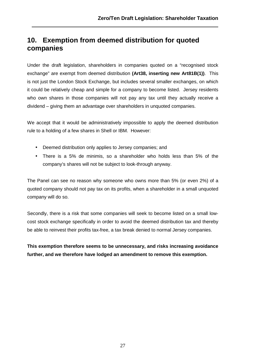# **10. Exemption from deemed distribution for quoted companies**

Under the draft legislation, shareholders in companies quoted on a "recognised stock exchange" are exempt from deemed distribution **(Art38, inserting new Art81B(1))**. This is not just the London Stock Exchange, but includes several smaller exchanges, on which it could be relatively cheap and simple for a company to become listed. Jersey residents who own shares in those companies will not pay any tax until they actually receive a dividend – giving them an advantage over shareholders in unquoted companies.

We accept that it would be administratively impossible to apply the deemed distribution rule to a holding of a few shares in Shell or IBM. However:

- Deemed distribution only applies to Jersey companies; and
- There is a 5% de minimis, so a shareholder who holds less than 5% of the company's shares will not be subject to look-through anyway.

The Panel can see no reason why someone who owns more than 5% (or even 2%) of a quoted company should not pay tax on its profits, when a shareholder in a small unquoted company will do so.

Secondly, there is a risk that some companies will seek to become listed on a small lowcost stock exchange specifically in order to avoid the deemed distribution tax and thereby be able to reinvest their profits tax-free, a tax break denied to normal Jersey companies.

**This exemption therefore seems to be unnecessary, and risks increasing avoidance further, and we therefore have lodged an amendment to remove this exemption.**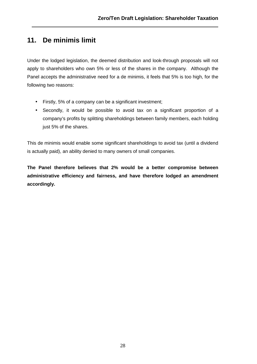# **11. De minimis limit**

Under the lodged legislation, the deemed distribution and look-through proposals will not apply to shareholders who own 5% or less of the shares in the company. Although the Panel accepts the administrative need for a de minimis, it feels that 5% is too high, for the following two reasons:

- Firstly, 5% of a company can be a significant investment;
- Secondly, it would be possible to avoid tax on a significant proportion of a company's profits by splitting shareholdings between family members, each holding just 5% of the shares.

This de minimis would enable some significant shareholdings to avoid tax (until a dividend is actually paid), an ability denied to many owners of small companies.

**The Panel therefore believes that 2% would be a better compromise between administrative efficiency and fairness, and have therefore lodged an amendment accordingly.**